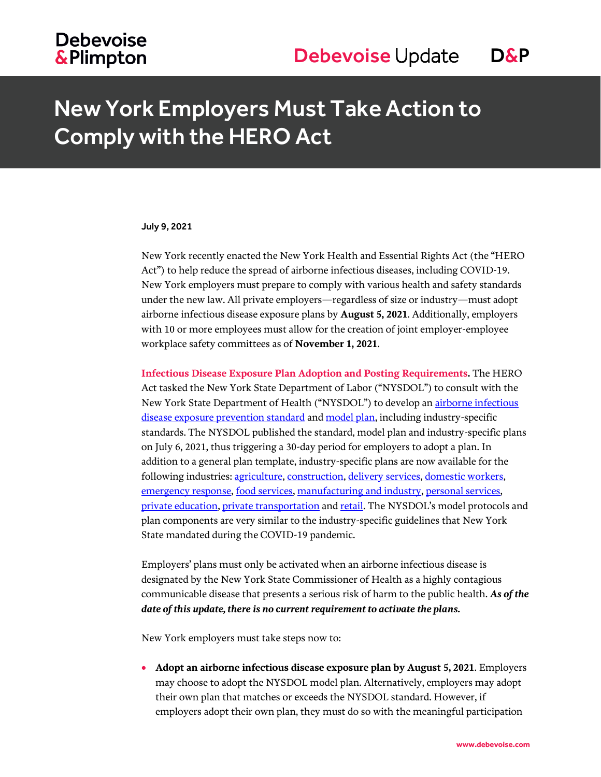## **Debevoise &Plimpton**

# New York Employers Must Take Action to Comply with the HERO Act

#### July 9, 2021

New York recently enacted the New York Health and Essential Rights Act (the "HERO Act") to help reduce the spread of airborne infectious diseases, including COVID-19. New York employers must prepare to comply with various health and safety standards under the new law. All private employers—regardless of size or industry—must adopt airborne infectious disease exposure plans by **August 5, 2021**. Additionally, employers with 10 or more employees must allow for the creation of joint employer-employee workplace safety committees as of **November 1, 2021**.

**Infectious Disease Exposure Plan Adoption and Posting Requirements.** The HERO Act tasked the New York State Department of Labor ("NYSDOL") to consult with the New York State Department of Health ("NYSDOL") to develop an airborne infectious [disease exposure prevention standard](https://dol.ny.gov/system/files/documents/2021/07/p764-the-airborne-infectious-disease-exposure-prevention-standard-v4.pdf) and [model plan,](https://dol.ny.gov/system/files/documents/2021/07/p765-ny-hero-act-model-airborne-infectious-disease-exposure-prevention-plan.pdf) including industry-specific standards. The NYSDOL published the standard, model plan and industry-specific plans on July 6, 2021, thus triggering a 30-day period for employers to adopt a plan. In addition to a general plan template, industry-specific plans are now available for the following industries: [agriculture,](https://dol.ny.gov/agriculture-exposure-prevention-plan-p765a) [construction,](https://dol.ny.gov/construction-exposure-prevention-plan-p765b) [delivery services,](https://dol.ny.gov/delivery-services-exposure-prevention-plan-p765c) [domestic workers,](https://dol.ny.gov/domestic-exposure-prevention-plan-p765d) [emergency response,](https://dol.ny.gov/emergency-response-exposure-prevention-plan-p765e) [food services,](https://dol.ny.gov/food-services-exposure-prevention-plan-765f) [manufacturing and industry,](https://dol.ny.gov/manufacturing-and-industry-exposure-prevention-plan-p765g) [personal services,](https://dol.ny.gov/personal-services-exposure-prevention-plan-p765h) [private education,](https://dol.ny.gov/private-education-exposure-prevention-plan-p765i) [private transportation](https://dol.ny.gov/private-transportation-exposure-prevention-plan-p765j) an[d retail.](https://dol.ny.gov/retail-exposure-prevention-plan-p765k) The NYSDOL's model protocols and plan components are very similar to the industry-specific guidelines that New York State mandated during the COVID-19 pandemic.

Employers' plans must only be activated when an airborne infectious disease is designated by the New York State Commissioner of Health as a highly contagious communicable disease that presents a serious risk of harm to the public health. *As of the date of this update, there is no current requirement to activate the plans.* 

New York employers must take steps now to:

 **Adopt an airborne infectious disease exposure plan by August 5, 2021**. Employers may choose to adopt the NYSDOL model plan. Alternatively, employers may adopt their own plan that matches or exceeds the NYSDOL standard. However, if employers adopt their own plan, they must do so with the meaningful participation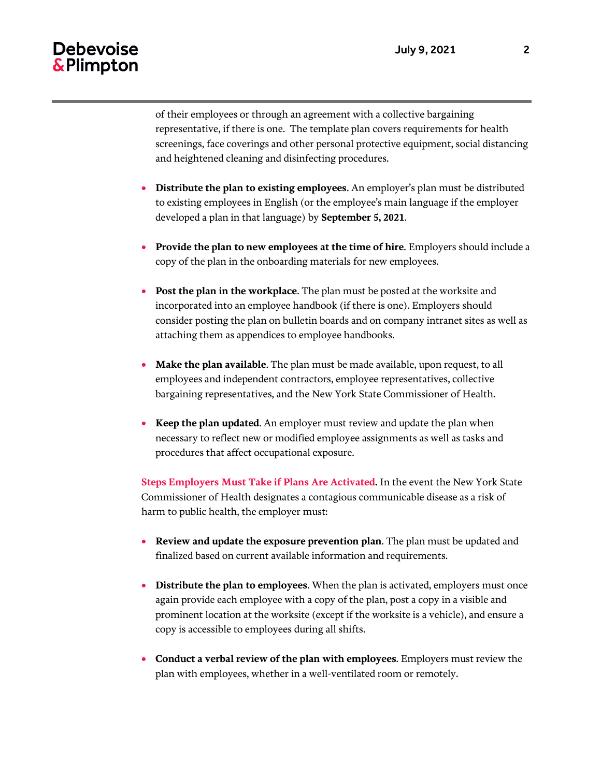### **Debevoise** & Plimpton

of their employees or through an agreement with a collective bargaining representative, if there is one. The template plan covers requirements for health screenings, face coverings and other personal protective equipment, social distancing and heightened cleaning and disinfecting procedures.

- **Distribute the plan to existing employees**. An employer's plan must be distributed to existing employees in English (or the employee's main language if the employer developed a plan in that language) by **September 5, 2021**.
- **Provide the plan to new employees at the time of hire**. Employers should include a copy of the plan in the onboarding materials for new employees.
- **Post the plan in the workplace**. The plan must be posted at the worksite and incorporated into an employee handbook (if there is one). Employers should consider posting the plan on bulletin boards and on company intranet sites as well as attaching them as appendices to employee handbooks.
- **Make the plan available**. The plan must be made available, upon request, to all employees and independent contractors, employee representatives, collective bargaining representatives, and the New York State Commissioner of Health.
- **Keep the plan updated**. An employer must review and update the plan when necessary to reflect new or modified employee assignments as well as tasks and procedures that affect occupational exposure.

**Steps Employers Must Take if Plans Are Activated.** In the event the New York State Commissioner of Health designates a contagious communicable disease as a risk of harm to public health, the employer must:

- **Review and update the exposure prevention plan**. The plan must be updated and finalized based on current available information and requirements.
- **Distribute the plan to employees**. When the plan is activated, employers must once again provide each employee with a copy of the plan, post a copy in a visible and prominent location at the worksite (except if the worksite is a vehicle), and ensure a copy is accessible to employees during all shifts.
- **Conduct a verbal review of the plan with employees**. Employers must review the plan with employees, whether in a well-ventilated room or remotely.